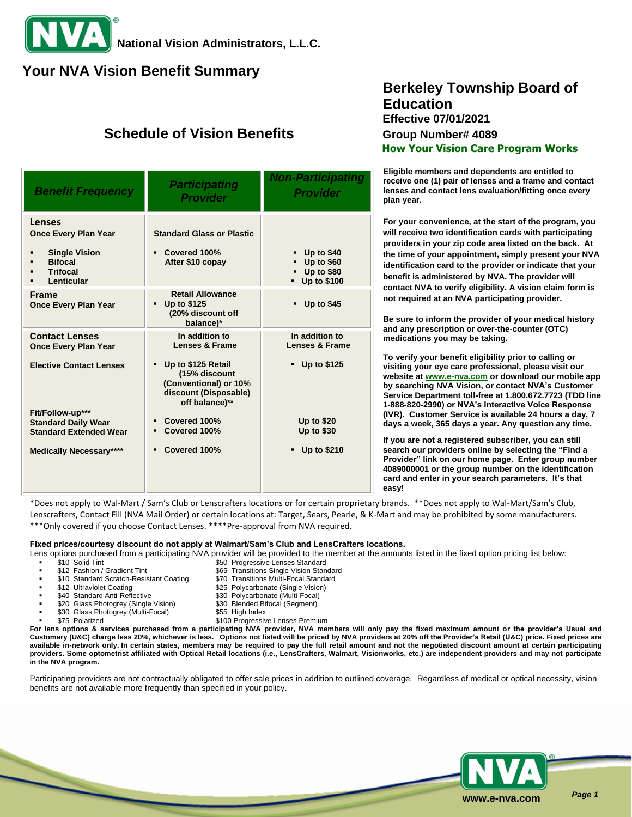### **Your NVA Vision Benefit Summary**

## **Schedule of Vision Benefits Group Number# 4089**

| <b>Benefit Frequency</b>                                                                                                | <b>Participating</b><br><b>Provider</b>                                                                                                                | <b>Non-Participating</b><br><b>Provider</b>                                  |
|-------------------------------------------------------------------------------------------------------------------------|--------------------------------------------------------------------------------------------------------------------------------------------------------|------------------------------------------------------------------------------|
| Lenses<br><b>Once Every Plan Year</b><br><b>Single Vision</b><br><b>Bifocal</b><br><b>Trifocal</b><br><b>Lenticular</b> | <b>Standard Glass or Plastic</b><br>Covered 100%<br>After \$10 copay                                                                                   | $-$ Up to \$40<br><b>Up to \$60</b><br>$-$ Up to \$80<br>Up to \$100         |
| <b>Frame</b><br><b>Once Every Plan Year</b>                                                                             | <b>Retail Allowance</b><br>Up to \$125<br>$\blacksquare$<br>(20% discount off<br>balance)*                                                             | $-$ Up to \$45                                                               |
| <b>Contact Lenses</b><br><b>Once Every Plan Year</b><br><b>Elective Contact Lenses</b>                                  | In addition to<br><b>Lenses &amp; Frame</b><br>Up to \$125 Retail<br>(15% discount<br>(Conventional) or 10%<br>discount (Disposable)<br>off balance)** | In addition to<br><b>Lenses &amp; Frame</b><br>Up to \$125<br>$\blacksquare$ |
| Fit/Follow-up***<br><b>Standard Daily Wear</b><br><b>Standard Extended Wear</b><br><b>Medically Necessary****</b>       | Covered 100%<br>Covered 100%<br>Covered 100%<br>٠                                                                                                      | <b>Up to \$20</b><br><b>Up to \$30</b><br><b>Up to \$210</b><br>٠            |

## **Berkeley Township Board of Education Effective 07/01/2021 How Your Vision Care Program Works**

**Eligible members and dependents are entitled to receive one (1) pair of lenses and a frame and contact lenses and contact lens evaluation/fitting once every plan year.**

**For your convenience, at the start of the program, you will receive two identification cards with participating providers in your zip code area listed on the back. At the time of your appointment, simply present your NVA identification card to the provider or indicate that your benefit is administered by NVA. The provider will contact NVA to verify eligibility. A vision claim form is not required at an NVA participating provider.**

**Be sure to inform the provider of your medical history and any prescription or over-the-counter (OTC) medications you may be taking.**

**To verify your benefit eligibility prior to calling or visiting your eye care professional, please visit our website a[t www.e-nva.com](http://www.e-nva.com/) or download our mobile app by searching NVA Vision, or contact NVA's Customer Service Department toll-free at 1.800.672.7723 (TDD line 1-888-820-2990) or NVA's Interactive Voice Response (IVR). Customer Service is available 24 hours a day, 7 days a week, 365 days a year. Any question any time.**

**If you are not a registered subscriber, you can still search our providers online by selecting the "Find a Provider" link on our home page. Enter group number 4089000001 or the group number on the identification card and enter in your search parameters. It's that easy!**

\*Does not apply to Wal-Mart / Sam's Club or Lenscrafters locations or for certain proprietary brands. \*\*Does not apply to Wal-Mart/Sam's Club, Lenscrafters, Contact Fill (NVA Mail Order) or certain locations at: Target, Sears, Pearle, & K-Mart and may be prohibited by some manufacturers. \*\*\*Only covered if you choose Contact Lenses. \*\*\*\*Pre-approval from NVA required.

#### **Fixed prices/courtesy discount do not apply at Walmart/Sam's Club and LensCrafters locations.**

Lens options purchased from a participating NVA provider will be provided to the member at the amounts listed in the fixed option pricing list below:<br>\$50. Progressive Lenses Standard

- 
- \$10 Solid Tint \$50 Progressive Lenses Standard<br>\$12 Fashion / Gradient Tint \$65 Transitions Single Vision Star
- \$10 Standard Scratch-Resistant Coating \$70 Transitions Multi-Focal Standard
- 
- \$12 Ultraviolet Coating building the same \$25 Polycarbonate (Single Vision)<br>\$40 Standard Anti-Reflective \$30 Polycarbonate (Multi-Focal)
- \$20 Glass Photogrey (Single Vision) \$30 Blended Bifocal (Segment)
- \$30 Glass Photogrey (Multi-Focal) \$55 High Index
	- - \$100 Progressive Lenses Premium

\$30 Polycarbonate (Multi-Focal)

\$65 Transitions Single Vision Standard

**For lens options & services purchased from a participating NVA provider, NVA members will only pay the fixed maximum amount or the provider's Usual and Customary (U&C) charge less 20%, whichever is less. Options not listed will be priced by NVA providers at 20% off the Provider's Retail (U&C) price. Fixed prices are available in-network only. In certain states, members may be required to pay the full retail amount and not the negotiated discount amount at certain participating providers. Some optometrist affiliated with Optical Retail locations (i.e., LensCrafters, Walmart, Visionworks, etc.) are independent providers and may not participate in the NVA program.**

Participating providers are not contractually obligated to offer sale prices in addition to outlined coverage. Regardless of medical or optical necessity, vision benefits are not available more frequently than specified in your policy.